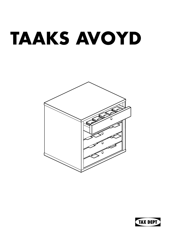## **TAAKS AVOYD**